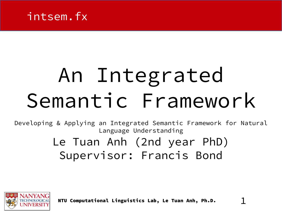

# An Integrated Semantic Framework

Developing & Applying an Integrated Semantic Framework for Natural Language Understanding

## Le Tuan Anh (2nd year PhD) Supervisor: Francis Bond



NTU Computational Linguistics Lab, Le Tuan Anh, Ph.D. 1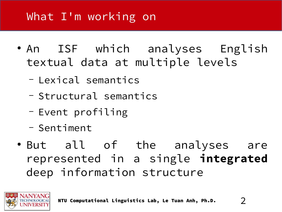- An ISF which analyses English textual data at multiple levels
	- Lexical semantics
	- Structural semantics
	- Event profiling
	- Sentiment
- But all of the analyses are represented in a single **integrated** deep information structure

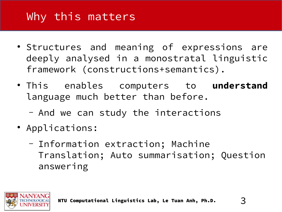#### Why this matters

- Structures and meaning of expressions are deeply analysed in a monostratal linguistic framework (constructions+semantics).
- This enables computers to **understand** language much better than before.
	- And we can study the interactions
- Applications:
	- Information extraction; Machine Translation; Auto summarisation; Question answering

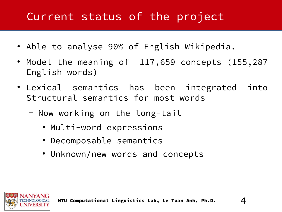#### Current status of the project

- Able to analyse 90% of English Wikipedia.
- Model the meaning of 117,659 concepts (155,287 English words)
- Lexical semantics has been integrated into Structural semantics for most words
	- Now working on the long-tail
		- Multi-word expressions
		- Decomposable semantics
		- Unknown/new words and concepts

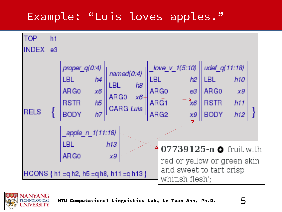### Example: "Luis loves apples."